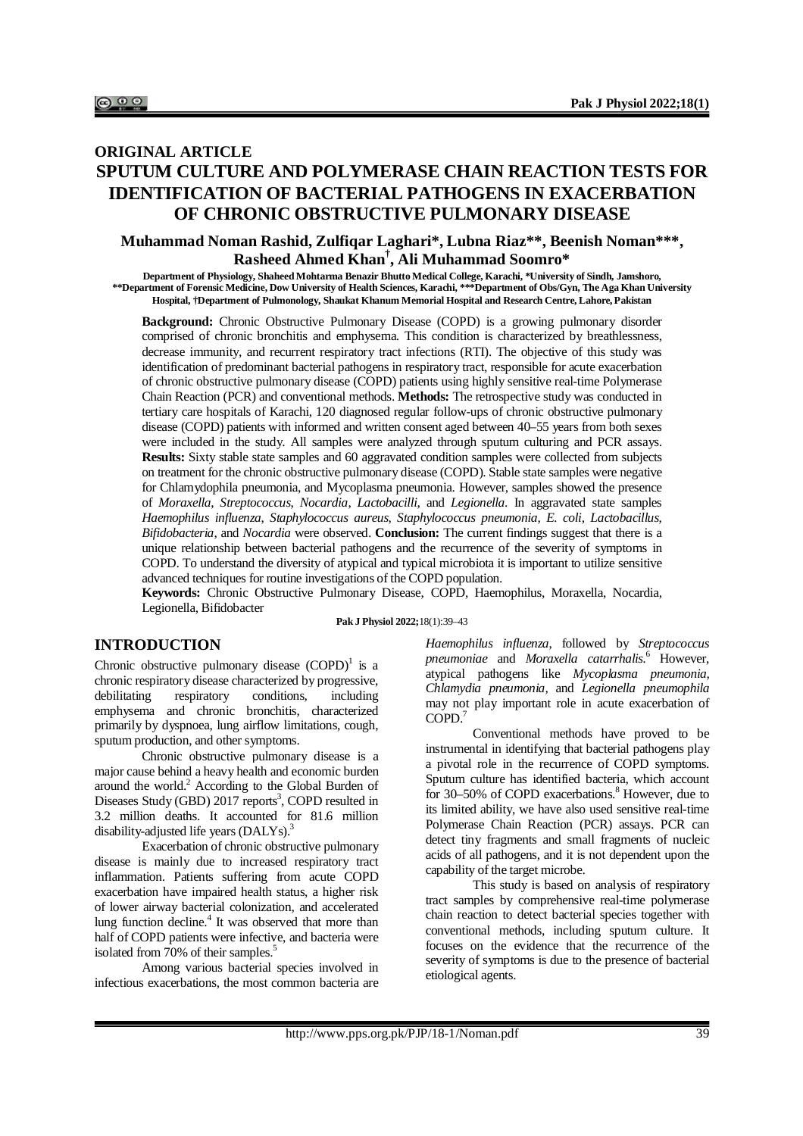# **ORIGINAL ARTICLE SPUTUM CULTURE AND POLYMERASE CHAIN REACTION TESTS FOR IDENTIFICATION OF BACTERIAL PATHOGENS IN EXACERBATION OF CHRONIC OBSTRUCTIVE PULMONARY DISEASE**

# **Muhammad Noman Rashid, Zulfiqar Laghari\*, Lubna Riaz\*\*, Beenish Noman\*\*\*, Rasheed Ahmed Khan† , Ali Muhammad Soomro\***

**Department of Physiology, Shaheed Mohtarma Benazir Bhutto Medical College, Karachi, \*University of Sindh, Jamshoro, \*\*Department of Forensic Medicine, Dow University of Health Sciences, Karachi, \*\*\*Department of Obs/Gyn, The Aga Khan University Hospital, †Department of Pulmonology, Shaukat Khanum Memorial Hospital and Research Centre, Lahore, Pakistan**

**Background:** Chronic Obstructive Pulmonary Disease (COPD) is a growing pulmonary disorder comprised of chronic bronchitis and emphysema. This condition is characterized by breathlessness, decrease immunity, and recurrent respiratory tract infections (RTI). The objective of this study was identification of predominant bacterial pathogens in respiratory tract, responsible for acute exacerbation of chronic obstructive pulmonary disease (COPD) patients using highly sensitive real-time Polymerase Chain Reaction (PCR) and conventional methods. **Methods:** The retrospective study was conducted in tertiary care hospitals of Karachi, 120 diagnosed regular follow-ups of chronic obstructive pulmonary disease (COPD) patients with informed and written consent aged between 40–55 years from both sexes were included in the study. All samples were analyzed through sputum culturing and PCR assays. **Results:** Sixty stable state samples and 60 aggravated condition samples were collected from subjects on treatment for the chronic obstructive pulmonary disease (COPD). Stable state samples were negative for Chlamydophila pneumonia, and Mycoplasma pneumonia. However, samples showed the presence of *Moraxella*, *Streptococcus*, *Nocardia*, *Lactobacilli*, and *Legionella*. In aggravated state samples *Haemophilus influenza*, *Staphylococcus aureus*, *Staphylococcus pneumonia*, *E. coli*, *Lactobacillus*, *Bifidobacteria*, and *Nocardia* were observed. **Conclusion:** The current findings suggest that there is a unique relationship between bacterial pathogens and the recurrence of the severity of symptoms in COPD. To understand the diversity of atypical and typical microbiota it is important to utilize sensitive advanced techniques for routine investigations of the COPD population.

**Keywords:** Chronic Obstructive Pulmonary Disease, COPD, Haemophilus, Moraxella, Nocardia, Legionella, Bifidobacter

**Pak J Physiol 2022;**18(1):39–43

### **INTRODUCTION**

Chronic obstructive pulmonary disease  $(COPD)^1$  is a chronic respiratory disease characterized by progressive, debilitating respiratory conditions, including emphysema and chronic bronchitis, characterized primarily by dyspnoea, lung airflow limitations, cough, sputum production, and other symptoms.

Chronic obstructive pulmonary disease is a major cause behind a heavy health and economic burden around the world.<sup>2</sup> According to the Global Burden of Diseases Study (GBD) 2017 reports<sup>3</sup>, COPD resulted in 3.2 million deaths. It accounted for 81.6 million disability-adjusted life years  $(DALYs)<sup>3</sup>$ .

Exacerbation of chronic obstructive pulmonary disease is mainly due to increased respiratory tract inflammation. Patients suffering from acute COPD exacerbation have impaired health status, a higher risk of lower airway bacterial colonization, and accelerated lung function decline. 4 It was observed that more than half of COPD patients were infective, and bacteria were isolated from 70% of their samples.<sup>5</sup>

Among various bacterial species involved in infectious exacerbations, the most common bacteria are

*Haemophilus influenza*, followed by *Streptococcus pneumoniae* and *Moraxella catarrhalis.*<sup>6</sup> However, atypical pathogens like *Mycoplasma pneumonia, Chlamydia pneumonia,* and *Legionella pneumophila*  may not play important role in acute exacerbation of COPD. 7

Conventional methods have proved to be instrumental in identifying that bacterial pathogens play a pivotal role in the recurrence of COPD symptoms. Sputum culture has identified bacteria, which account for 30–50% of COPD exacerbations.<sup>8</sup> However, due to its limited ability, we have also used sensitive real-time Polymerase Chain Reaction (PCR) assays. PCR can detect tiny fragments and small fragments of nucleic acids of all pathogens, and it is not dependent upon the capability of the target microbe.

This study is based on analysis of respiratory tract samples by comprehensive real-time polymerase chain reaction to detect bacterial species together with conventional methods, including sputum culture. It focuses on the evidence that the recurrence of the severity of symptoms is due to the presence of bacterial etiological agents.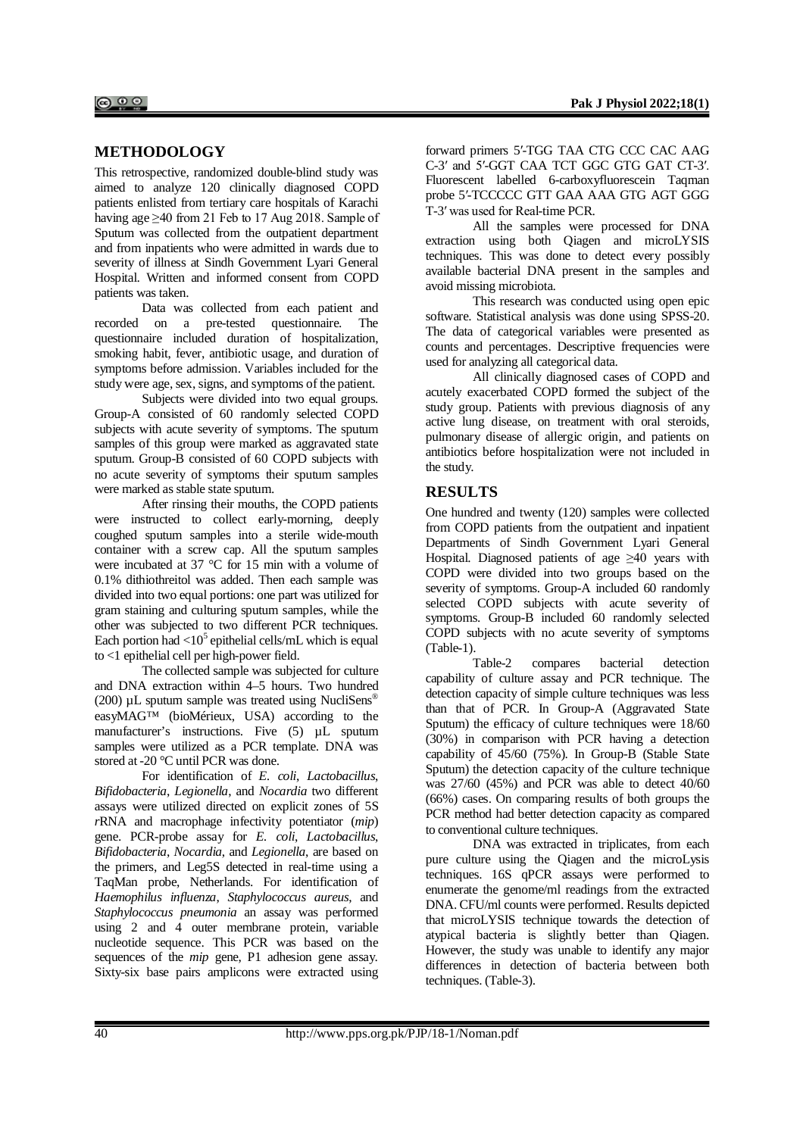# **METHODOLOGY**

This retrospective, randomized double-blind study was aimed to analyze 120 clinically diagnosed COPD patients enlisted from tertiary care hospitals of Karachi having age  $\geq$ 40 from 21 Feb to 17 Aug 2018. Sample of Sputum was collected from the outpatient department and from inpatients who were admitted in wards due to severity of illness at Sindh Government Lyari General Hospital. Written and informed consent from COPD patients was taken.

Data was collected from each patient and recorded on a pre-tested questionnaire. The questionnaire included duration of hospitalization, smoking habit, fever, antibiotic usage, and duration of symptoms before admission. Variables included for the study were age, sex, signs, and symptoms of the patient.

Subjects were divided into two equal groups. Group-A consisted of 60 randomly selected COPD subjects with acute severity of symptoms. The sputum samples of this group were marked as aggravated state sputum. Group-B consisted of 60 COPD subjects with no acute severity of symptoms their sputum samples were marked as stable state sputum.

After rinsing their mouths, the COPD patients were instructed to collect early-morning, deeply coughed sputum samples into a sterile wide-mouth container with a screw cap. All the sputum samples were incubated at 37 °C for 15 min with a volume of 0.1% dithiothreitol was added. Then each sample was divided into two equal portions: one part was utilized for gram staining and culturing sputum samples, while the other was subjected to two different PCR techniques. Each portion had  $\langle 10^5$  epithelial cells/mL which is equal to <1 epithelial cell per high-power field.

The collected sample was subjected for culture and DNA extraction within 4–5 hours. Two hundred (200)  $\mu$ L sputum sample was treated using NucliSens<sup>®</sup> easyMAG™ (bioMérieux, USA) according to the manufacturer's instructions. Five (5)  $\mu$ L sputum samples were utilized as a PCR template. DNA was stored at -20 °C until PCR was done.

For identification of *E. coli*, *Lactobacillus*, *Bifidobacteria*, *Legionella*, and *Nocardia* two different assays were utilized directed on explicit zones of 5S *r*RNA and macrophage infectivity potentiator (*mip*) gene. PCR-probe assay for *E. coli*, *Lactobacillus*, *Bifidobacteria*, *Nocardia*, and *Legionella*, are based on the primers, and Leg5S detected in real-time using a TaqMan probe, Netherlands. For identification of *Haemophilus influenza*, *Staphylococcus aureus*, and *Staphylococcus pneumonia* an assay was performed using 2 and 4 outer membrane protein, variable nucleotide sequence. This PCR was based on the sequences of the *mip* gene, P1 adhesion gene assay. Sixty-six base pairs amplicons were extracted using

forward primers 5′-TGG TAA CTG CCC CAC AAG C-3′ and 5′-GGT CAA TCT GGC GTG GAT CT-3′. Fluorescent labelled 6-carboxyfluorescein Taqman probe 5′-TCCCCC GTT GAA AAA GTG AGT GGG T-3′ was used for Real-time PCR.

All the samples were processed for DNA extraction using both Qiagen and microLYSIS techniques. This was done to detect every possibly available bacterial DNA present in the samples and avoid missing microbiota.

This research was conducted using open epic software. Statistical analysis was done using SPSS-20. The data of categorical variables were presented as counts and percentages. Descriptive frequencies were used for analyzing all categorical data.

All clinically diagnosed cases of COPD and acutely exacerbated COPD formed the subject of the study group. Patients with previous diagnosis of any active lung disease, on treatment with oral steroids, pulmonary disease of allergic origin, and patients on antibiotics before hospitalization were not included in the study.

# **RESULTS**

One hundred and twenty (120) samples were collected from COPD patients from the outpatient and inpatient Departments of Sindh Government Lyari General Hospital. Diagnosed patients of age  $\geq 40$  years with COPD were divided into two groups based on the severity of symptoms. Group-A included 60 randomly selected COPD subjects with acute severity of symptoms. Group-B included 60 randomly selected COPD subjects with no acute severity of symptoms (Table-1).

Table-2 compares bacterial detection capability of culture assay and PCR technique. The detection capacity of simple culture techniques was less than that of PCR. In Group-A (Aggravated State Sputum) the efficacy of culture techniques were 18/60 (30%) in comparison with PCR having a detection capability of 45/60 (75%). In Group-B (Stable State Sputum) the detection capacity of the culture technique was 27/60 (45%) and PCR was able to detect 40/60 (66%) cases. On comparing results of both groups the PCR method had better detection capacity as compared to conventional culture techniques.

DNA was extracted in triplicates, from each pure culture using the Qiagen and the microLysis techniques. 16S qPCR assays were performed to enumerate the genome/ml readings from the extracted DNA. CFU/ml counts were performed. Results depicted that microLYSIS technique towards the detection of atypical bacteria is slightly better than Qiagen. However, the study was unable to identify any major differences in detection of bacteria between both techniques. (Table-3).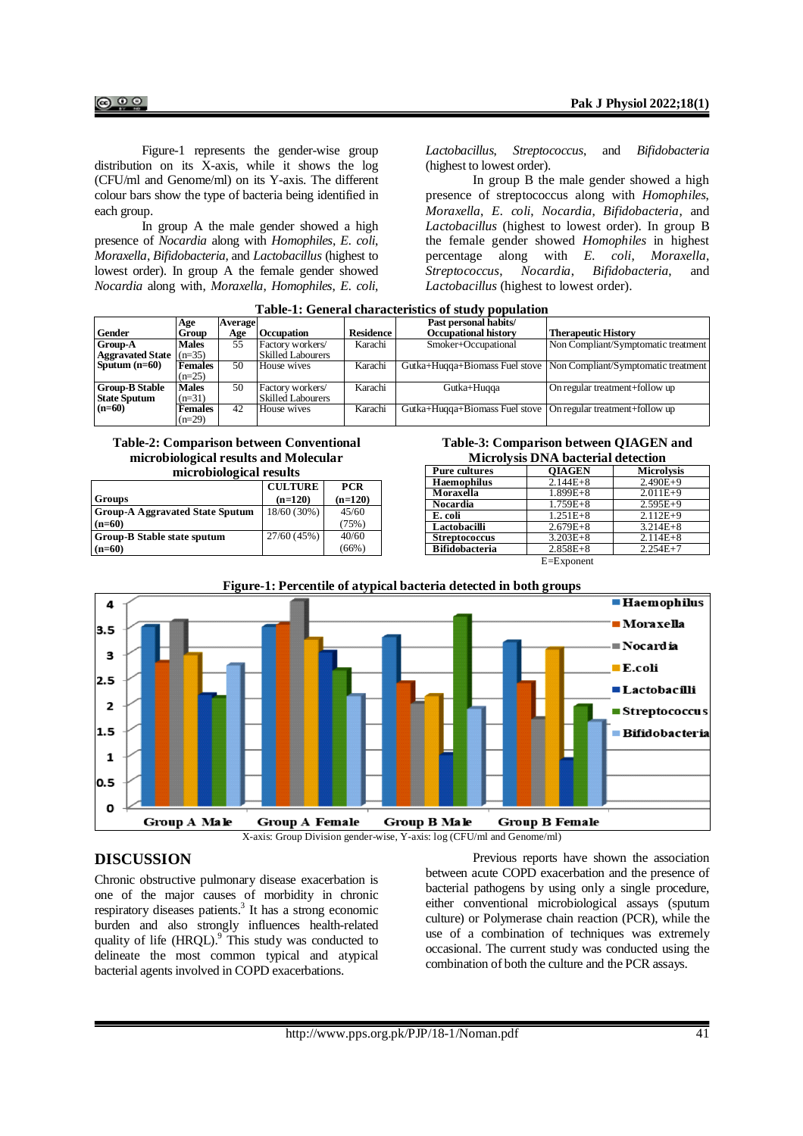Figure-1 represents the gender-wise group distribution on its X-axis, while it shows the log (CFU/ml and Genome/ml) on its Y-axis. The different colour bars show the type of bacteria being identified in each group.

In group A the male gender showed a high presence of *Nocardia* along with *Homophiles*, *E. coli*, *Moraxella*, *Bifidobacteria*, and *Lactobacillus* (highest to lowest order). In group A the female gender showed *Nocardia* along with, *Moraxella*, *Homophiles*, *E. coli*,

*Lactobacillus*, *Streptococcus*, and *Bifidobacteria* (highest to lowest order).

In group B the male gender showed a high presence of streptococcus along with *Homophiles*, *Moraxella*, *E. coli*, *Nocardia*, *Bifidobacteria*, and *Lactobacillus* (highest to lowest order). In group B the female gender showed *Homophiles* in highest percentage along with *E. coli*, *Moraxella*, *Streptococcus*, *Nocardia*, *Bifidobacteria*, and *Lactobacillus* (highest to lowest order).

| Gender                                       | Age<br>Group               | <b>Average</b><br>Age | <b>Occupation</b>                            | <b>Residence</b> | Past personal habits/<br><b>Occupational history</b>            | <b>Therapeutic History</b>                                         |
|----------------------------------------------|----------------------------|-----------------------|----------------------------------------------|------------------|-----------------------------------------------------------------|--------------------------------------------------------------------|
| <b>Group-A</b><br>Aggravated State $(n=35)$  | Males                      | 55                    | Factory workers/<br><b>Skilled Labourers</b> | Karachi          | Smoker+Occupational                                             | Non Compliant/Symptomatic treatment                                |
| Sputum $(n=60)$                              | <b>Females</b><br>$(n=25)$ | 50                    | House wives                                  | Karachi          |                                                                 | Gutka+Huqqa+Biomass Fuel stove Non Compliant/Symptomatic treatment |
| <b>Group-B Stable</b><br><b>State Sputum</b> | <b>Males</b><br>$(n=31)$   | 50                    | Factory workers/<br><b>Skilled Labourers</b> | Karachi          | Gutka+Huqqa                                                     | On regular treatment+follow up                                     |
| $(n=60)$                                     | <b>Females</b><br>$(n=29)$ | 42                    | House wives                                  | Karachi          | Gutka+Hugga+Biomass Fuel stove   On regular treatment+follow up |                                                                    |

**Table-1: General characteristics of study population**

#### **Table-2: Comparison between Conventional microbiological results and Molecular microbiological results**

| mici obiological i csans               |                |            |  |  |  |
|----------------------------------------|----------------|------------|--|--|--|
|                                        | <b>CULTURE</b> | <b>PCR</b> |  |  |  |
| <b>Groups</b>                          | $(n=120)$      | $(n=120)$  |  |  |  |
| <b>Group-A Aggravated State Sputum</b> | $18/60(30\%)$  | 45/60      |  |  |  |
| $(n=60)$                               |                | (75%)      |  |  |  |
| Group-B Stable state sputum            | 27/60(45%)     | 40/60      |  |  |  |
| $(n=60)$                               |                | $(66\%)$   |  |  |  |



| <u>ivitet ofy sis DIAA bacterial detection</u> |                |                   |  |  |  |
|------------------------------------------------|----------------|-------------------|--|--|--|
| <b>Pure cultures</b>                           | <b>OIAGEN</b>  | <b>Microlysis</b> |  |  |  |
| <b>Haemophilus</b>                             | $2.144E + 8$   | $2.490E+9$        |  |  |  |
| Moraxella                                      | $1.899E + 8$   | $2.011E+9$        |  |  |  |
| Nocardia                                       | $1.759E + 8$   | $2.595E+9$        |  |  |  |
| E. coli                                        | $1.251E + 8$   | $2.112E+9$        |  |  |  |
| Lactobacilli                                   | $2.679E + 8$   | $3.214E + 8$      |  |  |  |
| <b>Streptococcus</b>                           | $3.203E + 8$   | $2.114E + 8$      |  |  |  |
| <b>Bifidobacteria</b>                          | $2.858E + 8$   | $2.254E+7$        |  |  |  |
|                                                | $E = Exponent$ |                   |  |  |  |



# **DISCUSSION**

Chronic obstructive pulmonary disease exacerbation is one of the major causes of morbidity in chronic respiratory diseases patients.<sup>3</sup> It has a strong economic burden and also strongly influences health-related quality of life  $(HRQL)$ <sup>9</sup>. This study was conducted to delineate the most common typical and atypical bacterial agents involved in COPD exacerbations.

Previous reports have shown the association between acute COPD exacerbation and the presence of bacterial pathogens by using only a single procedure, either conventional microbiological assays (sputum culture) or Polymerase chain reaction (PCR), while the use of a combination of techniques was extremely occasional. The current study was conducted using the combination of both the culture and the PCR assays.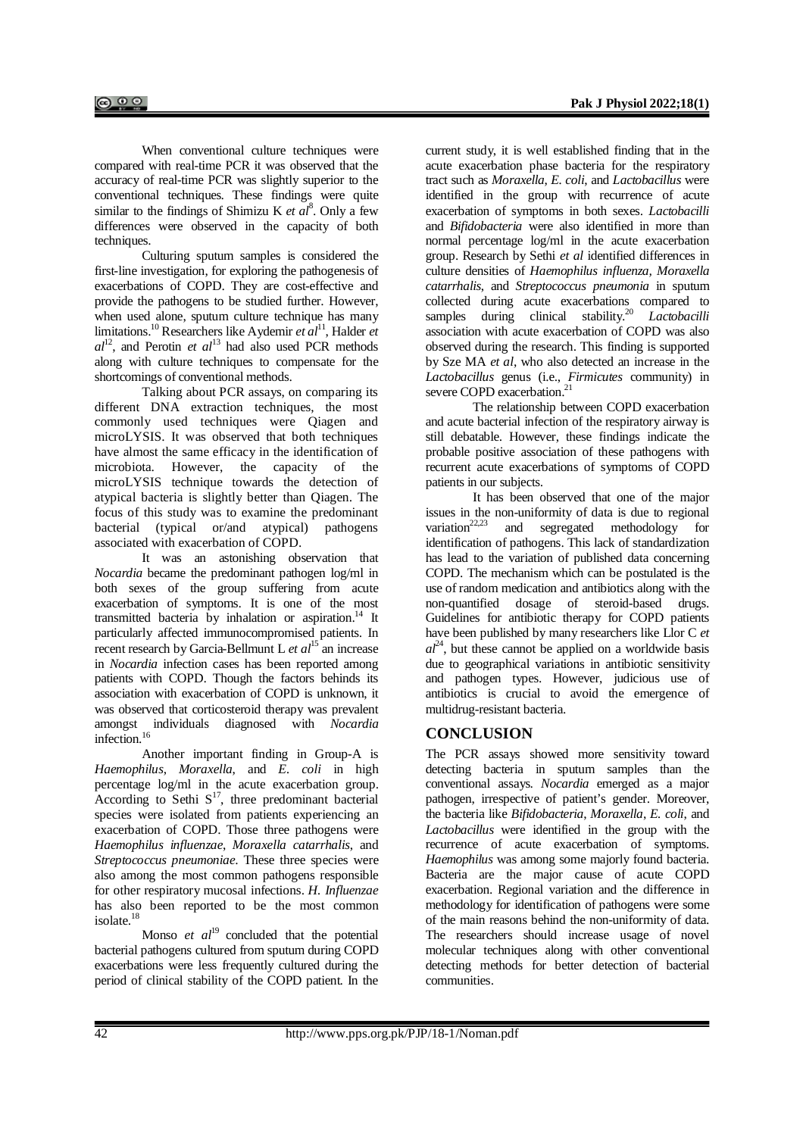When conventional culture techniques were compared with real-time PCR it was observed that the accuracy of real-time PCR was slightly superior to the conventional techniques. These findings were quite similar to the findings of Shimizu K *et al*<sup>8</sup>. Only a few differences were observed in the capacity of both techniques.

Culturing sputum samples is considered the first-line investigation, for exploring the pathogenesis of exacerbations of COPD. They are cost-effective and provide the pathogens to be studied further. However, when used alone, sputum culture technique has many limitations.<sup>10</sup> Researchers like Aydemir *et al*<sup>11</sup>, Halder *et*  $al<sup>12</sup>$ , and Perotin *et al*<sup>13</sup> had also used PCR methods along with culture techniques to compensate for the shortcomings of conventional methods.

Talking about PCR assays, on comparing its different DNA extraction techniques, the most commonly used techniques were Qiagen and microLYSIS. It was observed that both techniques have almost the same efficacy in the identification of microbiota. However, the capacity of the microLYSIS technique towards the detection of atypical bacteria is slightly better than Qiagen. The focus of this study was to examine the predominant bacterial (typical or/and atypical) pathogens associated with exacerbation of COPD.

It was an astonishing observation that *Nocardia* became the predominant pathogen log/ml in both sexes of the group suffering from acute exacerbation of symptoms. It is one of the most transmitted bacteria by inhalation or aspiration.<sup>14</sup> It particularly affected immunocompromised patients. In recent research by Garcia-Bellmunt L *et al*<sup>15</sup> an increase in *Nocardia* infection cases has been reported among patients with COPD. Though the factors behinds its association with exacerbation of COPD is unknown, it was observed that corticosteroid therapy was prevalent amongst individuals diagnosed with *Nocardia* infection.<sup>16</sup>

Another important finding in Group-A is *Haemophilus*, *Moraxella*, and *E. coli* in high percentage log/ml in the acute exacerbation group. According to Sethi  $S<sup>17</sup>$ , three predominant bacterial species were isolated from patients experiencing an exacerbation of COPD. Those three pathogens were *Haemophilus influenzae*, *Moraxella catarrhalis*, and *Streptococcus pneumoniae*. These three species were also among the most common pathogens responsible for other respiratory mucosal infections. *H. Influenzae* has also been reported to be the most common isolate. 18

Monso *et al*<sup>19</sup> concluded that the potential bacterial pathogens cultured from sputum during COPD exacerbations were less frequently cultured during the period of clinical stability of the COPD patient. In the

current study, it is well established finding that in the acute exacerbation phase bacteria for the respiratory tract such as *Moraxella*, *E. coli*, and *Lactobacillus* were identified in the group with recurrence of acute exacerbation of symptoms in both sexes. *Lactobacilli* and *Bifidobacteria* were also identified in more than normal percentage log/ml in the acute exacerbation group. Research by Sethi *et al* identified differences in culture densities of *Haemophilus influenza, Moraxella catarrhalis*, and *Streptococcus pneumonia* in sputum collected during acute exacerbations compared to samples during clinical stability.<sup>20</sup> *Lactobacilli* association with acute exacerbation of COPD was also observed during the research. This finding is supported by Sze MA *et al*, who also detected an increase in the *Lactobacillus* genus (i.e., *Firmicutes* community) in severe COPD exacerbation.<sup>21</sup>

The relationship between COPD exacerbation and acute bacterial infection of the respiratory airway is still debatable. However, these findings indicate the probable positive association of these pathogens with recurrent acute exacerbations of symptoms of COPD patients in our subjects.

It has been observed that one of the major issues in the non-uniformity of data is due to regional variation<sup>22,23</sup> and segregated methodology for and segregated methodology for identification of pathogens. This lack of standardization has lead to the variation of published data concerning COPD. The mechanism which can be postulated is the use of random medication and antibiotics along with the non-quantified dosage of steroid-based drugs. Guidelines for antibiotic therapy for COPD patients have been published by many researchers like Llor C *et*   $al^{24}$ , but these cannot be applied on a worldwide basis due to geographical variations in antibiotic sensitivity and pathogen types. However, judicious use of antibiotics is crucial to avoid the emergence of multidrug-resistant bacteria.

# **CONCLUSION**

The PCR assays showed more sensitivity toward detecting bacteria in sputum samples than the conventional assays. *Nocardia* emerged as a major pathogen, irrespective of patient's gender. Moreover, the bacteria like *Bifidobacteria*, *Moraxella*, *E. coli*, and *Lactobacillus* were identified in the group with the recurrence of acute exacerbation of symptoms. *Haemophilus* was among some majorly found bacteria. Bacteria are the major cause of acute COPD exacerbation. Regional variation and the difference in methodology for identification of pathogens were some of the main reasons behind the non-uniformity of data. The researchers should increase usage of novel molecular techniques along with other conventional detecting methods for better detection of bacterial communities.